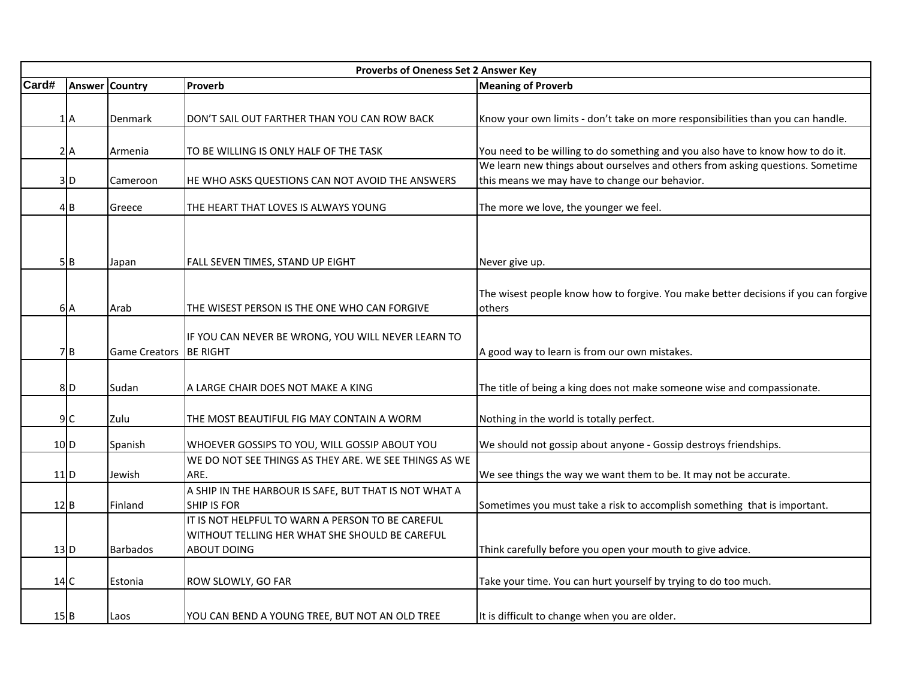|                   | Proverbs of Oneness Set 2 Answer Key |                       |                                                                                                    |                                                                                     |  |  |
|-------------------|--------------------------------------|-----------------------|----------------------------------------------------------------------------------------------------|-------------------------------------------------------------------------------------|--|--|
| Card#             |                                      | <b>Answer Country</b> | Proverb                                                                                            | <b>Meaning of Proverb</b>                                                           |  |  |
|                   |                                      |                       |                                                                                                    |                                                                                     |  |  |
|                   | 1A                                   | Denmark               | DON'T SAIL OUT FARTHER THAN YOU CAN ROW BACK                                                       | Know your own limits - don't take on more responsibilities than you can handle.     |  |  |
|                   |                                      |                       |                                                                                                    |                                                                                     |  |  |
|                   | 2A                                   | Armenia               | TO BE WILLING IS ONLY HALF OF THE TASK                                                             | You need to be willing to do something and you also have to know how to do it.      |  |  |
|                   |                                      |                       |                                                                                                    | We learn new things about ourselves and others from asking questions. Sometime      |  |  |
|                   | 3D                                   | Cameroon              | HE WHO ASKS QUESTIONS CAN NOT AVOID THE ANSWERS                                                    | this means we may have to change our behavior.                                      |  |  |
|                   | 4B                                   | Greece                | THE HEART THAT LOVES IS ALWAYS YOUNG                                                               | The more we love, the younger we feel.                                              |  |  |
|                   |                                      |                       |                                                                                                    |                                                                                     |  |  |
|                   | 5B                                   | Japan                 | FALL SEVEN TIMES, STAND UP EIGHT                                                                   | Never give up.                                                                      |  |  |
|                   |                                      |                       |                                                                                                    |                                                                                     |  |  |
|                   |                                      |                       |                                                                                                    | The wisest people know how to forgive. You make better decisions if you can forgive |  |  |
|                   | 6A                                   | Arab                  | THE WISEST PERSON IS THE ONE WHO CAN FORGIVE                                                       | others                                                                              |  |  |
|                   |                                      |                       |                                                                                                    |                                                                                     |  |  |
|                   |                                      |                       | IF YOU CAN NEVER BE WRONG, YOU WILL NEVER LEARN TO                                                 |                                                                                     |  |  |
|                   | 7B                                   | <b>Game Creators</b>  | <b>BE RIGHT</b>                                                                                    | A good way to learn is from our own mistakes.                                       |  |  |
|                   |                                      |                       |                                                                                                    |                                                                                     |  |  |
|                   | 8D                                   | Sudan                 | A LARGE CHAIR DOES NOT MAKE A KING                                                                 | The title of being a king does not make someone wise and compassionate.             |  |  |
|                   |                                      |                       |                                                                                                    |                                                                                     |  |  |
|                   | 9C                                   | Zulu                  | THE MOST BEAUTIFUL FIG MAY CONTAIN A WORM                                                          | Nothing in the world is totally perfect.                                            |  |  |
|                   | 10 D                                 | Spanish               | WHOEVER GOSSIPS TO YOU, WILL GOSSIP ABOUT YOU                                                      | We should not gossip about anyone - Gossip destroys friendships.                    |  |  |
|                   |                                      |                       | WE DO NOT SEE THINGS AS THEY ARE. WE SEE THINGS AS WE                                              |                                                                                     |  |  |
| $11$ <sub>D</sub> |                                      | Jewish                | ARE.                                                                                               | We see things the way we want them to be. It may not be accurate.                   |  |  |
|                   |                                      |                       | A SHIP IN THE HARBOUR IS SAFE, BUT THAT IS NOT WHAT A                                              |                                                                                     |  |  |
| $12$ <sub>B</sub> |                                      | Finland               | <b>SHIP IS FOR</b>                                                                                 | Sometimes you must take a risk to accomplish something that is important.           |  |  |
|                   |                                      |                       | IT IS NOT HELPFUL TO WARN A PERSON TO BE CAREFUL<br>WITHOUT TELLING HER WHAT SHE SHOULD BE CAREFUL |                                                                                     |  |  |
|                   | 13 <sub>D</sub>                      | <b>Barbados</b>       | ABOUT DOING                                                                                        | Think carefully before you open your mouth to give advice.                          |  |  |
|                   |                                      |                       |                                                                                                    |                                                                                     |  |  |
| 14C               |                                      | Estonia               | ROW SLOWLY, GO FAR                                                                                 | Take your time. You can hurt yourself by trying to do too much.                     |  |  |
|                   |                                      |                       |                                                                                                    |                                                                                     |  |  |
| $15$ $B$          |                                      | Laos                  | YOU CAN BEND A YOUNG TREE, BUT NOT AN OLD TREE                                                     | It is difficult to change when you are older.                                       |  |  |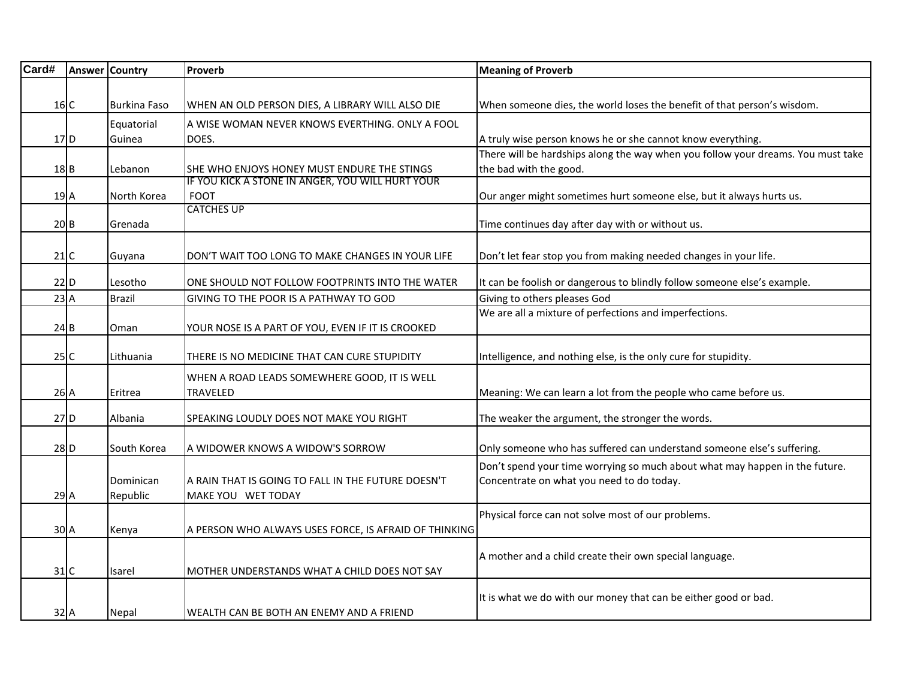| Card#    | <b>Answer Country</b> | Proverb                                                         | <b>Meaning of Proverb</b>                                                        |
|----------|-----------------------|-----------------------------------------------------------------|----------------------------------------------------------------------------------|
|          |                       |                                                                 |                                                                                  |
| 16C      | <b>Burkina Faso</b>   | WHEN AN OLD PERSON DIES, A LIBRARY WILL ALSO DIE                | When someone dies, the world loses the benefit of that person's wisdom.          |
|          | Equatorial            | A WISE WOMAN NEVER KNOWS EVERTHING. ONLY A FOOL                 |                                                                                  |
| 17D      | Guinea                | DOES.                                                           | A truly wise person knows he or she cannot know everything.                      |
|          |                       |                                                                 | There will be hardships along the way when you follow your dreams. You must take |
| $18$ B   | Lebanon               | SHE WHO ENJOYS HONEY MUST ENDURE THE STINGS                     | the bad with the good.                                                           |
| 19 A     | North Korea           | IF YOU KICK A STONE IN ANGER, YOU WILL HURT YOUR<br><b>FOOT</b> | Our anger might sometimes hurt someone else, but it always hurts us.             |
|          |                       | <b>CATCHES UP</b>                                               |                                                                                  |
| 20B      | Grenada               |                                                                 | Time continues day after day with or without us.                                 |
|          |                       |                                                                 |                                                                                  |
| 21C      | Guyana                | DON'T WAIT TOO LONG TO MAKE CHANGES IN YOUR LIFE                | Don't let fear stop you from making needed changes in your life.                 |
| $22$ D   | Lesotho               | ONE SHOULD NOT FOLLOW FOOTPRINTS INTO THE WATER                 | It can be foolish or dangerous to blindly follow someone else's example.         |
| 23A      | <b>Brazil</b>         | GIVING TO THE POOR IS A PATHWAY TO GOD                          | Giving to others pleases God                                                     |
|          |                       |                                                                 | We are all a mixture of perfections and imperfections.                           |
| 24B      | Oman                  | YOUR NOSE IS A PART OF YOU, EVEN IF IT IS CROOKED               |                                                                                  |
|          |                       |                                                                 |                                                                                  |
| 25C      | Lithuania             | THERE IS NO MEDICINE THAT CAN CURE STUPIDITY                    | Intelligence, and nothing else, is the only cure for stupidity.                  |
|          |                       | WHEN A ROAD LEADS SOMEWHERE GOOD, IT IS WELL                    |                                                                                  |
| 26A      | Eritrea               | TRAVELED                                                        | Meaning: We can learn a lot from the people who came before us.                  |
| 27D      | Albania               | SPEAKING LOUDLY DOES NOT MAKE YOU RIGHT                         | The weaker the argument, the stronger the words.                                 |
|          |                       |                                                                 |                                                                                  |
| 28D      | South Korea           | A WIDOWER KNOWS A WIDOW'S SORROW                                | Only someone who has suffered can understand someone else's suffering.           |
|          |                       |                                                                 | Don't spend your time worrying so much about what may happen in the future.      |
|          | Dominican             | A RAIN THAT IS GOING TO FALL IN THE FUTURE DOESN'T              | Concentrate on what you need to do today.                                        |
| 29A      | Republic              | MAKE YOU WET TODAY                                              |                                                                                  |
|          |                       |                                                                 | Physical force can not solve most of our problems.                               |
| 30A      | Kenya                 | A PERSON WHO ALWAYS USES FORCE, IS AFRAID OF THINKING           |                                                                                  |
|          |                       |                                                                 | A mother and a child create their own special language.                          |
| 31C      | Isarel                | MOTHER UNDERSTANDS WHAT A CHILD DOES NOT SAY                    |                                                                                  |
|          |                       |                                                                 |                                                                                  |
| $32$ $A$ | Nepal                 | WEALTH CAN BE BOTH AN ENEMY AND A FRIEND                        | It is what we do with our money that can be either good or bad.                  |
|          |                       |                                                                 |                                                                                  |